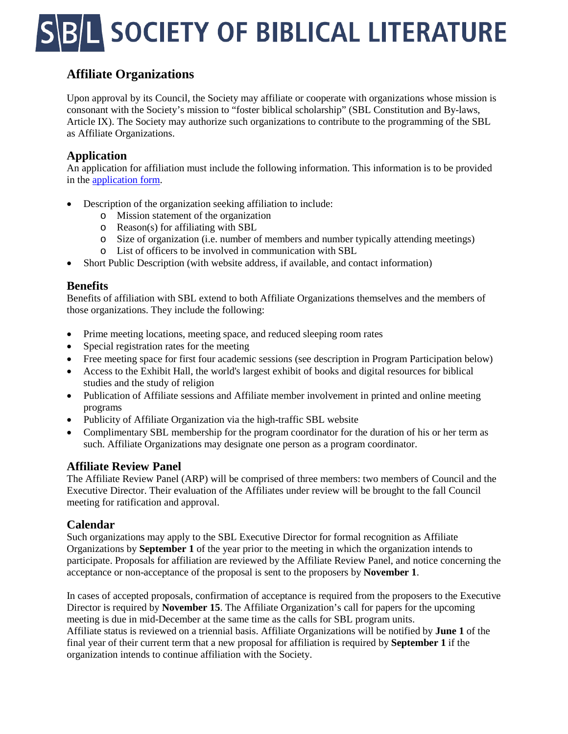# **L SOCIETY OF BIBLICAL LITERATURE**

## **Affiliate Organizations**

Upon approval by its Council, the Society may affiliate or cooperate with organizations whose mission is consonant with the Society's mission to "foster biblical scholarship" (SBL Constitution and By-laws, Article IX). The Society may authorize such organizations to contribute to the programming of the SBL as Affiliate Organizations.

#### **Application**

An application for affiliation must include the following information. This information is to be provided in the [application form.](https://docs.google.com/forms/d/e/1FAIpQLSfQVQ5psMddXA6qRM12qS1yexKJW061e3fxH9ygkwbtfYa7Kw/viewform?usp=sf_link)

- Description of the organization seeking affiliation to include:
	- o Mission statement of the organization
	- o Reason(s) for affiliating with SBL
	- o Size of organization (i.e. number of members and number typically attending meetings)
	- o List of officers to be involved in communication with SBL
- Short Public Description (with website address, if available, and contact information)

#### **Benefits**

Benefits of affiliation with SBL extend to both Affiliate Organizations themselves and the members of those organizations. They include the following:

- Prime meeting locations, meeting space, and reduced sleeping room rates
- Special registration rates for the meeting
- Free meeting space for first four academic sessions (see description in Program Participation below)
- Access to the Exhibit Hall, the world's largest exhibit of books and digital resources for biblical studies and the study of religion
- Publication of Affiliate sessions and Affiliate member involvement in printed and online meeting programs
- Publicity of Affiliate Organization via the high-traffic SBL website
- Complimentary SBL membership for the program coordinator for the duration of his or her term as such. Affiliate Organizations may designate one person as a program coordinator.

#### **Affiliate Review Panel**

The Affiliate Review Panel (ARP) will be comprised of three members: two members of Council and the Executive Director. Their evaluation of the Affiliates under review will be brought to the fall Council meeting for ratification and approval.

#### **Calendar**

Such organizations may apply to the SBL Executive Director for formal recognition as Affiliate Organizations by **September 1** of the year prior to the meeting in which the organization intends to participate. Proposals for affiliation are reviewed by the Affiliate Review Panel, and notice concerning the acceptance or non-acceptance of the proposal is sent to the proposers by **November 1**.

In cases of accepted proposals, confirmation of acceptance is required from the proposers to the Executive Director is required by **November 15**. The Affiliate Organization's call for papers for the upcoming meeting is due in mid-December at the same time as the calls for SBL program units. Affiliate status is reviewed on a triennial basis. Affiliate Organizations will be notified by **June 1** of the final year of their current term that a new proposal for affiliation is required by **September 1** if the organization intends to continue affiliation with the Society.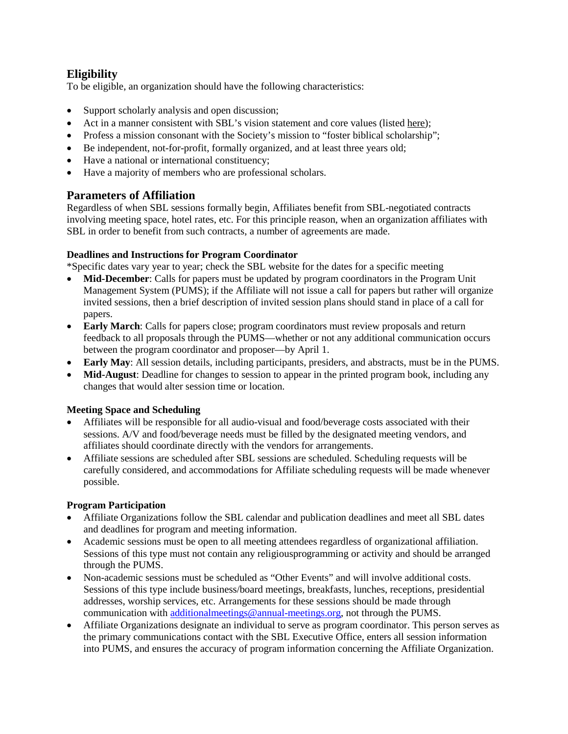### **Eligibility**

To be eligible, an organization should have the following characteristics:

- Support scholarly analysis and open discussion;
- Act in a manner consistent with SBL's vision statement and core values (listed [here\)](http://www.sbl-site.org/aboutus.aspx);
- Profess a mission consonant with the Society's mission to "foster biblical scholarship";
- Be independent, not-for-profit, formally organized, and at least three years old;
- Have a national or international constituency;
- Have a majority of members who are professional scholars.

#### **Parameters of Affiliation**

Regardless of when SBL sessions formally begin, Affiliates benefit from SBL-negotiated contracts involving meeting space, hotel rates, etc. For this principle reason, when an organization affiliates with SBL in order to benefit from such contracts, a number of agreements are made.

#### **Deadlines and Instructions for Program Coordinator**

\*Specific dates vary year to year; check the SBL website for the dates for a specific meeting

- **Mid-December:** Calls for papers must be updated by program coordinators in the Program Unit Management System (PUMS); if the Affiliate will not issue a call for papers but rather will organize invited sessions, then a brief description of invited session plans should stand in place of a call for papers.
- **Early March**: Calls for papers close; program coordinators must review proposals and return feedback to all proposals through the PUMS—whether or not any additional communication occurs between the program coordinator and proposer—by April 1.
- **Early May**: All session details, including participants, presiders, and abstracts, must be in the PUMS.
- **Mid-August**: Deadline for changes to session to appear in the printed program book, including any changes that would alter session time or location.

#### **Meeting Space and Scheduling**

- Affiliates will be responsible for all audio-visual and food/beverage costs associated with their sessions. A/V and food/beverage needs must be filled by the designated meeting vendors, and affiliates should coordinate directly with the vendors for arrangements.
- Affiliate sessions are scheduled after SBL sessions are scheduled. Scheduling requests will be carefully considered, and accommodations for Affiliate scheduling requests will be made whenever possible.

#### **Program Participation**

- Affiliate Organizations follow the SBL calendar and publication deadlines and meet all SBL dates and deadlines for program and meeting information.
- Academic sessions must be open to all meeting attendees regardless of organizational affiliation. Sessions of this type must not contain any religiousprogramming or activity and should be arranged through the PUMS.
- Non-academic sessions must be scheduled as "Other Events" and will involve additional costs. Sessions of this type include business/board meetings, breakfasts, lunches, receptions, presidential addresses, worship services, etc. Arrangements for these sessions should be made through communication with [additionalmeetings@annual-meetings.org,](mailto:additionalmeetings@annual-meetings.org) not through the PUMS.
- Affiliate Organizations designate an individual to serve as program coordinator. This person serves as the primary communications contact with the SBL Executive Office, enters all session information into PUMS, and ensures the accuracy of program information concerning the Affiliate Organization.